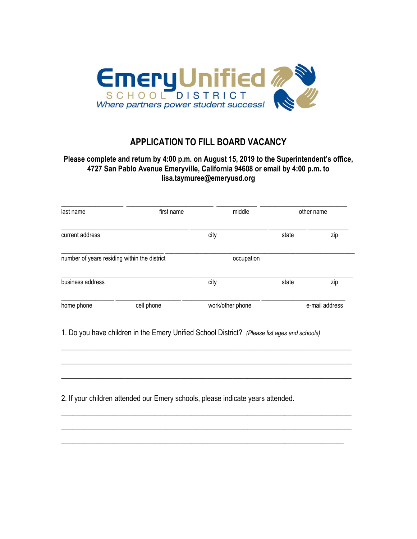

## **APPLICATION TO FILL BOARD VACANCY**

## **Please complete and return by 4:00 p.m. on August 15, 2019 to the Superintendent's office, 4727 San Pablo Avenue Emeryville, California 94608 or email by 4:00 p.m. to lisa.taymuree@emeryusd.org**

| last name                                    | first name | middle           | other name |                |
|----------------------------------------------|------------|------------------|------------|----------------|
| current address                              |            | city             | state      | zip            |
| number of years residing within the district |            | occupation       |            |                |
| business address                             |            | city             | state      | zip            |
| home phone                                   | cell phone | work/other phone |            | e-mail address |

 $\_$  , and the set of the set of the set of the set of the set of the set of the set of the set of the set of the set of the set of the set of the set of the set of the set of the set of the set of the set of the set of th

 $\_$  , and the set of the set of the set of the set of the set of the set of the set of the set of the set of the set of the set of the set of the set of the set of the set of the set of the set of the set of the set of th

 $\_$  , and the set of the set of the set of the set of the set of the set of the set of the set of the set of the set of the set of the set of the set of the set of the set of the set of the set of the set of the set of th

 $\_$  , and the set of the set of the set of the set of the set of the set of the set of the set of the set of the set of the set of the set of the set of the set of the set of the set of the set of the set of the set of th

 $\_$  , and the set of the set of the set of the set of the set of the set of the set of the set of the set of the set of the set of the set of the set of the set of the set of the set of the set of the set of the set of th

\_\_\_\_\_\_\_\_\_\_\_\_\_\_\_\_\_\_\_\_\_\_\_\_\_\_\_\_\_\_\_\_\_\_\_\_\_\_\_\_\_\_\_\_\_\_\_\_\_\_\_\_\_\_\_\_\_\_\_\_\_\_\_\_\_\_\_\_\_\_\_\_\_\_\_\_

1. Do you have children in the Emery Unified School District? *(Please list ages and schools)*

2. If your children attended our Emery schools, please indicate years attended.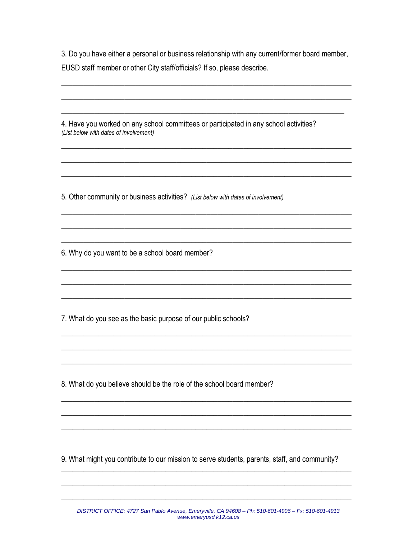3. Do you have either a personal or business relationship with any current/former board member, EUSD staff member or other City staff/officials? If so, please describe.

4. Have you worked on any school committees or participated in any school activities? (List below with dates of involvement)

5. Other community or business activities? (List below with dates of involvement)

6. Why do you want to be a school board member?

7. What do you see as the basic purpose of our public schools?

8. What do you believe should be the role of the school board member?

9. What might you contribute to our mission to serve students, parents, staff, and community?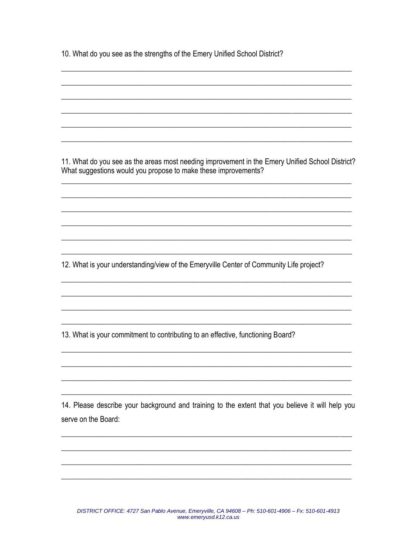10. What do you see as the strengths of the Emery Unified School District?

11. What do you see as the areas most needing improvement in the Emery Unified School District? What suggestions would you propose to make these improvements?

12. What is your understanding/view of the Emeryville Center of Community Life project?

13. What is your commitment to contributing to an effective, functioning Board?

14. Please describe your background and training to the extent that you believe it will help you serve on the Board: